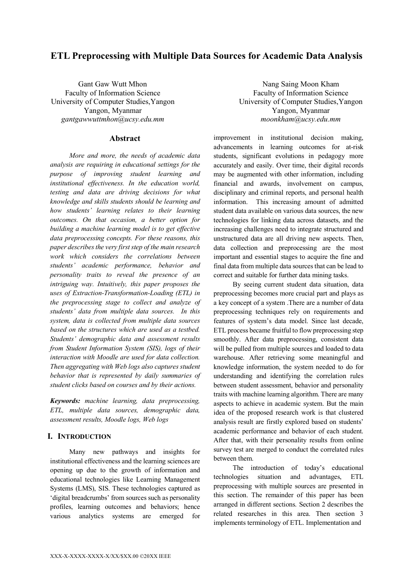# **ETL Preprocessing with Multiple Data Sources for Academic Data Analysis**

Gant Gaw Wutt Mhon Faculty of Information Science University of Computer Studies,Yangon Yangon, Myanmar *gantgawwuttmhon@ucsy.edu.mm*

### **Abstract**

*More and more, the needs of academic data analysis are requiring in educational settings for the purpose of improving student learning and institutional effectiveness. In the education world, testing and data are driving decisions for what knowledge and skills students should be learning and how students' learning relates to their learning outcomes. On that occasion, a better option for building a machine learning model is to get effective data preprocessing concepts. For these reasons, this paper describes the very first step of the main research work which considers the correlations between students' academic performance, behavior and personality traits to reveal the presence of an intriguing way. Intuitively, this paper proposes the uses of Extraction-Transformation-Loading (ETL) in the preprocessing stage to collect and analyze of students' data from multiple data sources. In this system, data is collected from multiple data sources based on the structures which are used as a testbed. Students' demographic data and assessment results from Student Information System (SIS), logs of their interaction with Moodle are used for data collection. Then aggregating with Web logs also captures student behavior that is represented by daily summaries of student clicks based on courses and by their actions.*

*Keywords: machine learning, data preprocessing, ETL, multiple data sources, demographic data, assessment results, Moodle logs, Web logs*

# **I. INTRODUCTION**

Many new pathways and insights for institutional effectiveness and the learning sciences are opening up due to the growth of information and educational technologies like Learning Management Systems (LMS), SIS. These technologies captured as 'digital breadcrumbs' from sources such as personality profiles, learning outcomes and behaviors; hence various analytics systems are emerged for

Nang Saing Moon Kham Faculty of Information Science University of Computer Studies,Yangon Yangon, Myanmar *moonkham@ucsy.edu.mm*

improvement in institutional decision making, advancements in learning outcomes for at-risk students, significant evolutions in pedagogy more accurately and easily. Over time, their digital records may be augmented with other information, including financial and awards, involvement on campus, disciplinary and criminal reports, and personal health information. This increasing amount of admitted student data available on various data sources, the new technologies for linking data across datasets, and the increasing challenges need to integrate structured and unstructured data are all driving new aspects. Then, data collection and preprocessing are the most important and essential stages to acquire the fine and final data from multiple data sources that can be lead to correct and suitable for further data mining tasks.

By seeing current student data situation, data preprocessing becomes more crucial part and plays as a key concept of a system .There are a number of data preprocessing techniques rely on requirements and features of system's data model. Since last decade, ETL process became fruitful to flow preprocessing step smoothly. After data preprocessing, consistent data will be pulled from multiple sources and loaded to data warehouse. After retrieving some meaningful and knowledge information, the system needed to do for understanding and identifying the correlation rules between student assessment, behavior and personality traits with machine learning algorithm. There are many aspects to achieve in academic system. But the main idea of the proposed research work is that clustered analysis result are firstly explored based on students' academic performance and behavior of each student. After that, with their personality results from online survey test are merged to conduct the correlated rules between them.

The introduction of today's educational technologies situation and advantages, ETL preprocessing with multiple sources are presented in this section. The remainder of this paper has been arranged in different sections. Section 2 describes the related researches in this area. Then section 3 implements terminology of ETL. Implementation and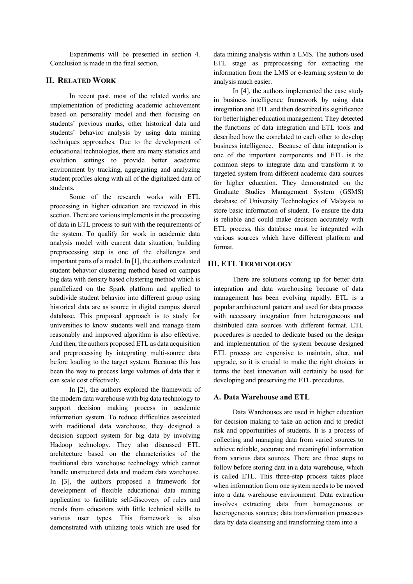Experiments will be presented in section 4. Conclusion is made in the final section.

# **II. RELATED WORK**

In recent past, most of the related works are implementation of predicting academic achievement based on personality model and then focusing on students' previous marks, other historical data and students' behavior analysis by using data mining techniques approaches. Due to the development of educational technologies, there are many statistics and evolution settings to provide better academic environment by tracking, aggregating and analyzing student profiles along with all of the digitalized data of students.

Some of the research works with ETL processing in higher education are reviewed in this section. There are various implements in the processing of data in ETL process to suit with the requirements of the system. To qualify for work in academic data analysis model with current data situation, building preprocessing step is one of the challenges and important parts of a model. In [1], the authors evaluated student behavior clustering method based on campus big data with density based clustering method which is parallelized on the Spark platform and applied to subdivide student behavior into different group using historical data are as source in digital campus shared database. This proposed approach is to study for universities to know students well and manage them reasonably and improved algorithm is also effective. And then, the authors proposed ETL as data acquisition and preprocessing by integrating multi-source data before loading to the target system. Because this has been the way to process large volumes of data that it can scale cost effectively.

In [2], the authors explored the framework of the modern data warehouse with big data technology to support decision making process in academic information system. To reduce difficulties associated with traditional data warehouse, they designed a decision support system for big data by involving Hadoop technology. They also discussed ETL architecture based on the characteristics of the traditional data warehouse technology which cannot handle unstructured data and modern data warehouse. In [3], the authors proposed a framework for development of flexible educational data mining application to facilitate self-discovery of rules and trends from educators with little technical skills to various user types. This framework is also demonstrated with utilizing tools which are used for

data mining analysis within a LMS. The authors used ETL stage as preprocessing for extracting the information from the LMS or e-learning system to do analysis much easier.

In [4], the authors implemented the case study in business intelligence framework by using data integration and ETL and then described its significance for better higher education management. They detected the functions of data integration and ETL tools and described how the correlated to each other to develop business intelligence. Because of data integration is one of the important components and ETL is the common steps to integrate data and transform it to targeted system from different academic data sources for higher education. They demonstrated on the Graduate Studies Management System (GSMS) database of University Technologies of Malaysia to store basic information of student. To ensure the data is reliable and could make decision accurately with ETL process, this database must be integrated with various sources which have different platform and format.

## **III. ETL TERMINOLOGY**

There are solutions coming up for better data integration and data warehousing because of data management has been evolving rapidly. ETL is a popular architectural pattern and used for data process with necessary integration from heterogeneous and distributed data sources with different format. ETL procedures is needed to dedicate based on the design and implementation of the system because designed ETL process are expensive to maintain, alter, and upgrade, so it is crucial to make the right choices in terms the best innovation will certainly be used for developing and preserving the ETL procedures.

#### **A. Data Warehouse and ETL**

Data Warehouses are used in higher education for decision making to take an action and to predict risk and opportunities of students. It is a process of collecting and managing data from varied sources to achieve reliable, accurate and meaningful information from various data sources. There are three steps to follow before storing data in a data warehouse, which is called ETL. This three-step process takes place when information from one system needs to be moved into a data warehouse environment. Data extraction involves extracting data from homogeneous or heterogeneous sources; data transformation processes data by data cleansing and transforming them into a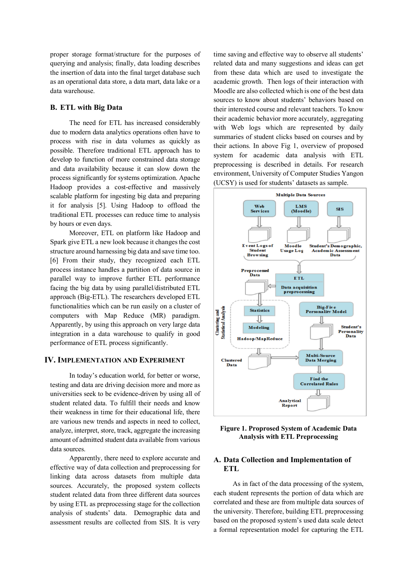proper storage format/structure for the purposes of querying and analysis; finally, data loading describes the insertion of data into the final target database such as an operational data store, a data mart, data lake or a data warehouse.

### **B. ETL with Big Data**

The need for ETL has increased considerably due to modern data analytics operations often have to process with rise in data volumes as quickly as possible. Therefore traditional ETL approach has to develop to function of more constrained data storage and data availability because it can slow down the process significantly for systems optimization. Apache Hadoop provides a cost-effective and massively scalable platform for ingesting big data and preparing it for analysis [5]. Using Hadoop to offload the traditional ETL processes can reduce time to analysis by hours or even days.

Moreover, ETL on platform like Hadoop and Spark give ETL a new look because it changes the cost structure around harnessing big data and save time too. [6] From their study, they recognized each ETL process instance handles a partition of data source in parallel way to improve further ETL performance facing the big data by using parallel/distributed ETL approach (Big-ETL). The researchers developed ETL functionalities which can be run easily on a cluster of computers with Map Reduce (MR) paradigm. Apparently, by using this approach on very large data integration in a data warehouse to qualify in good performance of ETL process significantly.

### **IV. IMPLEMENTATION AND EXPERIMENT**

In today's education world, for better or worse, testing and data are driving decision more and more as universities seek to be evidence-driven by using all of student related data. To fulfill their needs and know their weakness in time for their educational life, there are various new trends and aspects in need to collect, analyze, interpret, store, track, aggregate the increasing amount of admitted student data available from various data sources.

Apparently, there need to explore accurate and effective way of data collection and preprocessing for linking data across datasets from multiple data sources. Accurately, the proposed system collects student related data from three different data sources by using ETL as preprocessing stage for the collection analysis of students' data. Demographic data and assessment results are collected from SIS. It is very time saving and effective way to observe all students' related data and many suggestions and ideas can get from these data which are used to investigate the academic growth. Then logs of their interaction with Moodle are also collected which is one of the best data sources to know about students' behaviors based on their interested course and relevant teachers. To know their academic behavior more accurately, aggregating with Web logs which are represented by daily summaries of student clicks based on courses and by their actions. In above Fig 1, overview of proposed system for academic data analysis with ETL preprocessing is described in details. For research environment, University of Computer Studies Yangon (UCSY) is used for students' datasets as sample.



**Figure 1. Proprosed System of Academic Data Analysis with ETL Preprocessing**

# **A. Data Collection and Implementation of ETL**

As in fact of the data processing of the system, each student represents the portion of data which are correlated and these are from multiple data sources of the university. Therefore, building ETL preprocessing based on the proposed system's used data scale detect a formal representation model for capturing the ETL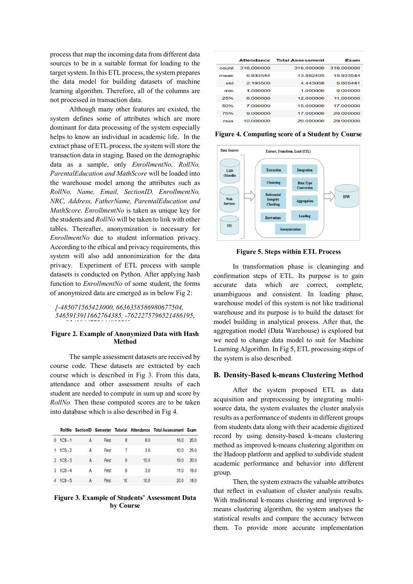process that map the incoming data from different data sources to be in a suitable format for loading to the target system. In this ETL process, the system prepares the data model for building datasets of machine learning algorithm. Therefore, all of the columns are not processed in transaction data.

Although many other features are existed, the system defines some of attributes which are more dominant for data processing of the system especially helps to know an individual in academic life. In the extract phase of ETL process, the system will store the transaction data in staging. Based on the demographic data as a sample, only *EnrollmentNo, RollNo, ParentalEducation and MathScore* will be loaded into the warehouse model among the attributes such as *RollNo, Name, Email, SectionID, EnrollmentNo, NRC, Address, FatherName, ParentalEducation and MathScore*. *EnrollmentNo* is taken as unique key for the students and *RollNo* will be taken to link with other tables. Thereafter, anonymization is necessary for *EnrollmentNo* due to student information privacy. According to the ethical and privacy requirements, this system will also add annonimization for the data privacy. Experiment of ETL process with sample datasets is conducted on Python. After applying hash function to *EnrollmentNo* of some student, the forms of anonymized data are emerged as in below Fig 2:

*[-485071565423000, 6636358586980677504, 5465913911662764385, -7622275796521486195, 954196477564483528]*

### **Figure 2. Example of Anonymized Data with Hash Method**

The sample assessment datasets are received by course code. These datasets are extracted by each course which is described in Fig 3. From this data, attendance and other assessment results of each student are needed to compute in sum up and score by *RollNo.* Then these computed scores are to be taken into database which is also described in Fig 4.

|    |           |   |       |    |      | RollNo SectionID Semester Tutorial Attendance Total Assessment Exam |      |
|----|-----------|---|-------|----|------|---------------------------------------------------------------------|------|
| 0  | $1CS - 1$ | А | First | 8  | 8.0  | 16.0                                                                | 20.0 |
| 1. | $1CS - 2$ | A | First |    | 3.0  | 10.0                                                                | 25.0 |
|    | 2 1CS-3   | А | First | 9  | 10.0 | 19.0                                                                | 20.0 |
| 3  | $1CS - 4$ | A | First | 8  | 3.0  | 11.0                                                                | 16.0 |
| 4  | $1CS - 5$ | А | First | 10 | 10.0 | 20.0                                                                | 18.0 |
|    |           |   |       |    |      |                                                                     |      |

#### **Figure 3. Example of Students' Assessment Data by Course**

|  |       | <b>Attendance</b> | <b>Total Assessment</b> | Exam       |  |
|--|-------|-------------------|-------------------------|------------|--|
|  | count | 316,000000        | 316.000000              | 316,000000 |  |
|  | mean  | 6.933544          | 13.892405               | 15.933544  |  |
|  | std   | 2.193500          | 4 443058                | 5.605441   |  |
|  | min   | 1.000000          | 1.000000                | 0.000000   |  |
|  | 25%   | 6.000000          | 12.000000               | 11.000000  |  |
|  | 50%   | 7.000000          | 15.000000               | 17.000000  |  |
|  | 75%   | 9.000000          | 17.000000               | 20,000000  |  |
|  | max   | 10.000000         | 20,000000               | 29.000000  |  |

**Figure 4. Computing score of a Student by Course**



**Figure 5. Steps within ETL Process**

In transformation phase is cleaninging and confirmation steps of ETL. Its purpose is to gain accurate data which are correct, complete, unambiguous and consistent. In loading phase, warehouse model of this system is not like traditional warehouse and its purpose is to build the dataset for model building in analytical process. After that, the aggregation model (Data Warehouse) is explored but we need to change data model to suit for Machine Learning Algorithm. In Fig 5, ETL processing steps of the system is also described.

### **B. Density-Based k-means Clustering Method**

After the system proposed ETL as data acquisition and preprocessing by integrating multisource data, the system evaluates the cluster analysis results as a performance of students in different groups from students data along with their academic digitized record by using density-based k-means clustering method as improved k-means clustering algorithm on the Hadoop platform and applied to subdivide student academic performance and behavior into different group.

Then, the system extracts the valuable attributes that reflect in evaluation of cluster analysis results. With traditional k-means clustering and improved kmeans clustering algorithm, the system analyses the statistical results and compare the accuracy between them. To provide more accurate implementation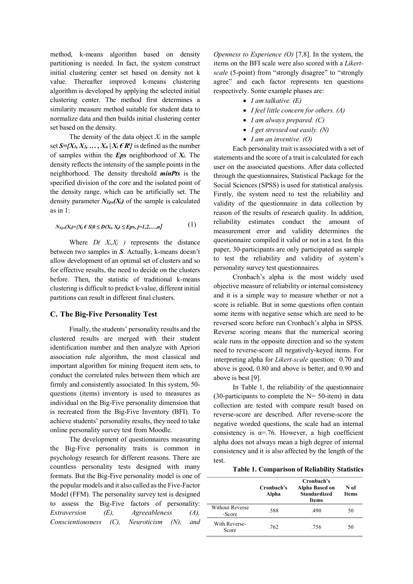method, k-means algorithm based on density partitioning is needed. In fact, the system construct initial clustering center set based on density not k value. Thereafter improved k-means clustering algorithm is developed by applying the selected initial clustering center. The method first determines a similarity measure method suitable for student data to normalize data and then builds initial clustering center set based on the density.

The density of the data object  $X_i$  in the sample set  $S = \{X_1, X_2, \ldots, X_n | X_i \in \mathbb{R}^t\}$  is defined as the number of samples within the *Eps* neighborhood of *Xi*. The density reflects the intensity of the sample points in the neighborhood. The density threshold *minPts* is the specified division of the core and the isolated point of the density range, which can be artificially set. The density parameter  $N_{Eps}(X_i)$  of the sample is calculated as in 1:

$$
N_{Eps}(X_i) = \{X_i \in S | 0 \le D(X_i, X_i) \le Eps, j=1,2,...,n\}
$$
 (1)

Where  $D(X_i, X_j)$  represents the distance between two samples in *S*. Actually, k-means doesn't allow development of an optimal set of clusters and so for effective results, the need to decide on the clusters before. Then, the statistic of traditional k-means clustering is difficult to predict k-value, different initial partitions can result in different final clusters.

#### **C. The Big-Five Personality Test**

Finally, the students' personality results and the clustered results are merged with their student identification number and then analyze with Apriori association rule algorithm, the most classical and important algorithm for mining frequent item sets, to conduct the correlated rules between them which are firmly and consistently associated. In this system, 50 questions (items) inventory is used to measures as individual on the Big-Five personality dimension that is recreated from the Big-Five Inventory (BFI). To achieve students' personality results, they need to take online personality survey test from Moodle.

The development of questionnaires measuring the Big-Five personality traits is common in psychology research for different reasons. There are countless personality tests designed with many formats. But the Big-Five personality model is one of the popular models and it also called as the Five-Factor Model (FFM). The personality survey test is designed to assess the Big-Five factors of personality: *Extraversion (E), Agreeableness (A), Conscientiousness (C), Neuroticism (N), and* 

*Openness to Experience (O)* [7,8]. In the system, the items on the BFI scale were also scored with a *Likertscale* (5-point) from "strongly disagree" to "strongly agree" and each factor represents ten questions respectively. Some example phases are:

- *I am talkative. (E)*
- *I feel little concern for others. (A)*
- *I am always prepared. (C)*
- *I get stressed out easily. (N)*
- *I am an inventive. (O)*

Each personality trait is associated with a set of statements and the score of a trait is calculated for each user on the associated questions. After data collected through the questionnaires, Statistical Package for the Social Sciences (SPSS) is used for statistical analysis. Firstly, the system need to test the reliability and validity of the questionnaire in data collection by reason of the results of research quality. In addition, reliability estimates conduct the amount of measurement error and validity determines the questionnaire compiled it valid or not in a test. In this paper, 30-participants are only participated as sample to test the reliability and validity of system's personality survey test questionnaires.

Cronbach's alpha is the most widely used objective measure of reliability or internal consistency and it is a simple way to measure whether or not a score is reliable. But in some questions often contain some items with negative sense which are need to be reversed score before run Cronbach's alpha in SPSS. Reverse scoring means that the numerical scoring scale runs in the opposite direction and so the system need to reverse-score all negatively-keyed items. For interpreting alpha for *Likert-scale* question: 0.70 and above is good, 0.80 and above is better, and 0.90 and above is best [9].

In Table 1, the reliability of the questionnaire  $(30$ -participants to complete the N= 50-item) in data collection are tested with compare result based on reverse-score are described. After reverse-score the negative worded questions, the scale had an internal consistency is  $\alpha$ =.76. However, a high coefficient alpha does not always mean a high degree of internal consistency and it is also affected by the length of the test.

**Table 1. Comparison of Reliability Statistics**

|                                  | Cronbach's<br>Alpha | Cronbach's<br>Alpha Based on<br><b>Standardized</b><br><b>Items</b> | N of<br><b>Items</b> |
|----------------------------------|---------------------|---------------------------------------------------------------------|----------------------|
| <b>Without Reverse</b><br>-Score | .588                | .490                                                                | 50                   |
| With Reverse-<br>Score           | .762                | .756                                                                | 50                   |